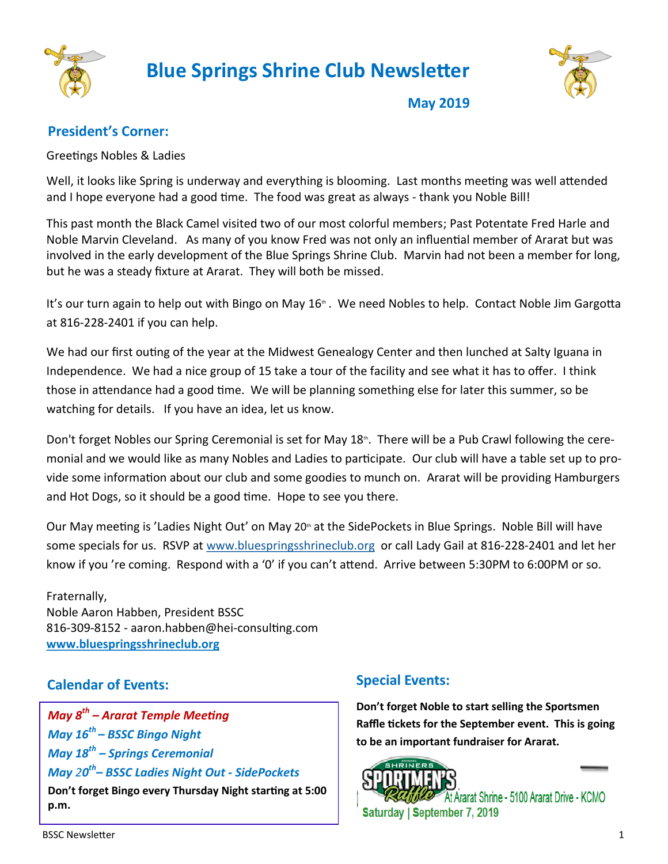

# **Blue Springs Shrine Club Newsletter**



**May 2019**

# **President's Corner:**

Greetings Nobles & Ladies

Well, it looks like Spring is underway and everything is blooming. Last months meeting was well attended and I hope everyone had a good time. The food was great as always - thank you Noble Bill!

This past month the Black Camel visited two of our most colorful members; Past Potentate Fred Harle and Noble Marvin Cleveland. As many of you know Fred was not only an influential member of Ararat but was involved in the early development of the Blue Springs Shrine Club. Marvin had not been a member for long, but he was a steady fixture at Ararat. They will both be missed.

It's our turn again to help out with Bingo on May 16<sup>th</sup>. We need Nobles to help. Contact Noble Jim Gargotta at 816-228-2401 if you can help.

We had our first outing of the year at the Midwest Genealogy Center and then lunched at Salty Iguana in Independence. We had a nice group of 15 take a tour of the facility and see what it has to offer. I think those in attendance had a good time. We will be planning something else for later this summer, so be watching for details. If you have an idea, let us know.

Don't forget Nobles our Spring Ceremonial is set for May 18<sup>th</sup>. There will be a Pub Crawl following the ceremonial and we would like as many Nobles and Ladies to participate. Our club will have a table set up to provide some information about our club and some goodies to munch on. Ararat will be providing Hamburgers and Hot Dogs, so it should be a good time. Hope to see you there.

Our May meeting is 'Ladies Night Out' on May 20<sup>th</sup> at the SidePockets in Blue Springs. Noble Bill will have some specials for us. RSVP at [www.bluespringsshrineclub.org](http://www.bluespringsshrineclub.org/) or call Lady Gail at 816-228-2401 and let her know if you 're coming. Respond with a '0' if you can't attend. Arrive between 5:30PM to 6:00PM or so.

Fraternally, Noble Aaron Habben, President BSSC 816-309-8152 - aaron.habben@hei-consulting.com **[www.bluespringsshrineclub.org](http://www.bluespringsshrineclub.org)**

# **Calendar of Events:**

*May 8th – Ararat Temple Meeting May 16th – BSSC Bingo Night May 18th – Springs Ceremonial May 20 th – BSSC Ladies Night Out - SidePockets* **Don't forget Bingo every Thursday Night starting at 5:00 p.m.** 

# **Special Events:**

**Don't forget Noble to start selling the Sportsmen Raffle tickets for the September event. This is going to be an important fundraiser for Ararat.**